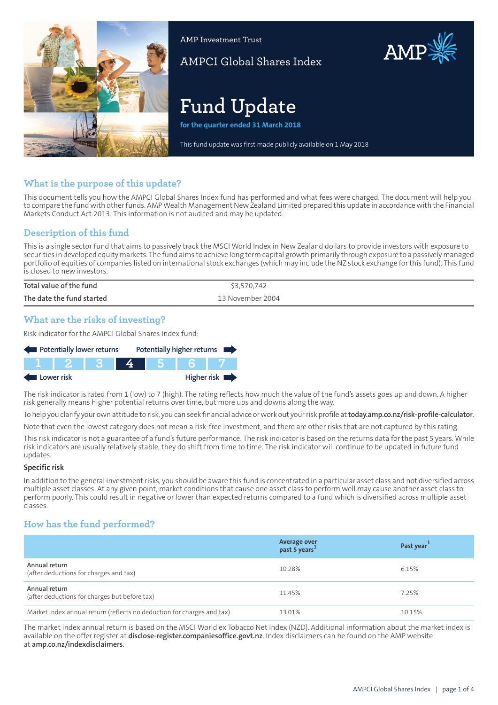

AMP Investment Trust

AMPCI Global Shares Index

# **Fund Update**

**for the quarter ended 31 March 2018**

This fund update was first made publicly available on 1 May 2018

# **What is the purpose of this update?**

This document tells you how the AMPCI Global Shares Index fund has performed and what fees were charged. The document will help you to compare the fund with other funds. AMP Wealth Management New Zealand Limited prepared this update in accordance with the Financial Markets Conduct Act 2013. This information is not audited and may be updated.

# **Description of this fund**

This is a single sector fund that aims to passively track the MSCI World Index in New Zealand dollars to provide investors with exposure to securities in developed equity markets. The fund aims to achieve long term capital growth primarily through exposure to a passively managed portfolio of equities of companies listed on international stock exchanges (which may include the NZ stock exchange forthis fund). This fund is closed to new investors.

| Total value of the fund   | \$3,570,742      |
|---------------------------|------------------|
| The date the fund started | 13 November 2004 |

# **What are the risks of investing?**

Risk indicator for the AMPCI Global Shares Index fund:



The risk indicator is rated from 1 (low) to 7 (high). The rating reflects how much the value of the fund's assets goes up and down. A higher risk generally means higher potential returns over time, but more ups and downs along the way.

To help you clarify your own attitude to risk, you can seek financial advice orwork out yourrisk profile at**[today.amp.co.nz/risk-profile-calculator](http://today.amp.co.nz/risk-profile-calculator)**.

Note that even the lowest category does not mean a risk-free investment, and there are other risks that are not captured by this rating.

This risk indicator is not a guarantee of a fund's future performance. The risk indicator is based on the returns data for the past 5 years. While risk indicators are usually relatively stable, they do shift from time to time. The risk indicator will continue to be updated in future fund updates.

#### **Specific risk**

In addition to the general investmentrisks, you should be aware this fund is concentrated in a particular asset class and not diversified across multiple asset classes. At any given point, market conditions that cause one asset class to perform well may cause another asset class to perform poorly. This could result in negative or lower than expected returns compared to a fund which is diversified across multiple asset classes.

## **How has the fund performed?**

|                                                                        | Average over<br>past 5 years <sup>1</sup> | Past year <sup>1</sup> |
|------------------------------------------------------------------------|-------------------------------------------|------------------------|
| Annual return<br>(after deductions for charges and tax)                | 10.28%                                    | 6.15%                  |
| Annual return<br>(after deductions for charges but before tax)         | 11.45%                                    | 7.25%                  |
| Market index annual return (reflects no deduction for charges and tax) | 13.01%                                    | 10.15%                 |

The market index annual return is based on the MSCI World ex Tobacco Net Index (NZD). Additional information about the market index is available on the offer register at **[disclose-register.companiesoffice.govt.nz](https://disclose-register.companiesoffice.govt.nz/)**. Index disclaimers can be found on the AMP website at **[amp.co.nz/indexdisclaimers](http://amp.co.nz/indexdisclaimers)**.

AMP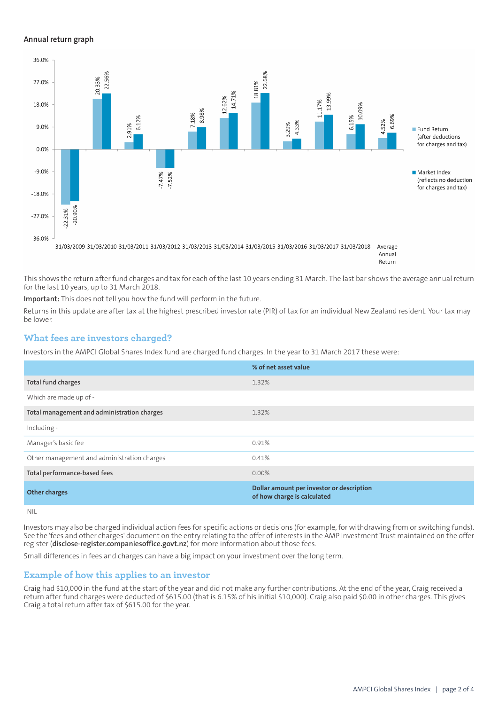#### **Annual return graph**



Return

This shows the return after fund charges and tax for each of the last 10 years ending 31 March. The last bar shows the average annual return for the last 10 years, up to 31 March 2018.

**Important:** This does not tell you how the fund will perform in the future.

Returns in this update are after tax at the highest prescribed investor rate (PIR) of tax for an individual New Zealand resident. Your tax may be lower.

## **What fees are investors charged?**

Investors in the AMPCI Global Shares Index fund are charged fund charges. In the year to 31 March 2017 these were:

|                                             | % of net asset value                                                     |
|---------------------------------------------|--------------------------------------------------------------------------|
| Total fund charges                          | 1.32%                                                                    |
| Which are made up of -                      |                                                                          |
| Total management and administration charges | 1.32%                                                                    |
| Including -                                 |                                                                          |
| Manager's basic fee                         | 0.91%                                                                    |
| Other management and administration charges | 0.41%                                                                    |
| Total performance-based fees                | $0.00\%$                                                                 |
| <b>Other charges</b>                        | Dollar amount per investor or description<br>of how charge is calculated |
| NII                                         |                                                                          |

Investors may also be charged individual action fees for specific actions or decisions (for example, for withdrawing from or switching funds). See the 'fees and other charges' document on the entry relating to the offer of interests in the AMP Investment Trust maintained on the offer register (**[disclose-register.companiesoffice.govt.nz](https://disclose-register.companiesoffice.govt.nz/)**) for more information about those fees.

Small differences in fees and charges can have a big impact on your investment over the long term.

## **Example of how this applies to an investor**

Craig had \$10,000 in the fund at the start of the year and did not make any further contributions. At the end of the year, Craig received a return after fund charges were deducted of \$615.00 (that is 6.15% of his initial \$10,000). Craig also paid \$0.00 in other charges. This gives Craig a total return after tax of \$615.00 for the year.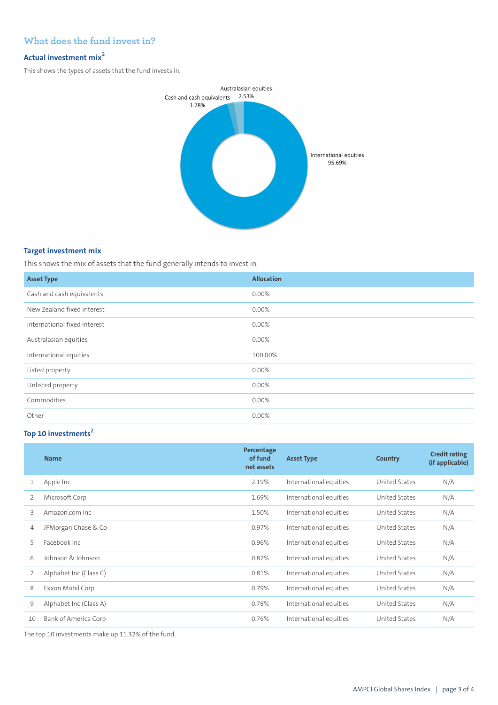# **What does the fund invest in?**

## **Actual investment mix<sup>2</sup>**

This shows the types of assets that the fund invests in.



## **Target investment mix**

This shows the mix of assets that the fund generally intends to invest in.

| <b>Asset Type</b>            | <b>Allocation</b> |
|------------------------------|-------------------|
| Cash and cash equivalents    | 0.00%             |
| New Zealand fixed interest   | 0.00%             |
| International fixed interest | 0.00%             |
| Australasian equities        | 0.00%             |
| International equities       | 100.00%           |
| Listed property              | 0.00%             |
| Unlisted property            | 0.00%             |
| Commodities                  | 0.00%             |
| Other                        | 0.00%             |

# **Top 10 investments<sup>2</sup>**

|    | <b>Name</b>            | Percentage<br>of fund<br>net assets | <b>Asset Type</b>      | <b>Country</b> | <b>Credit rating</b><br>(if applicable) |
|----|------------------------|-------------------------------------|------------------------|----------------|-----------------------------------------|
| 1  | Apple Inc              | 2.19%                               | International equities | United States  | N/A                                     |
| 2  | Microsoft Corp         | 1.69%                               | International equities | United States  | N/A                                     |
| 3  | Amazon.com Inc.        | 1.50%                               | International equities | United States  | N/A                                     |
| 4  | JPMorgan Chase & Co    | 0.97%                               | International equities | United States  | N/A                                     |
| 5  | Facebook Inc.          | 0.96%                               | International equities | United States  | N/A                                     |
| 6  | Johnson & Johnson      | 0.87%                               | International equities | United States  | N/A                                     |
|    | Alphabet Inc (Class C) | 0.81%                               | International equities | United States  | N/A                                     |
| 8  | Exxon Mobil Corp       | 0.79%                               | International equities | United States  | N/A                                     |
| 9  | Alphabet Inc (Class A) | 0.78%                               | International equities | United States  | N/A                                     |
| 10 | Bank of America Corp   | 0.76%                               | International equities | United States  | N/A                                     |

The top 10 investments make up 11.32% of the fund.